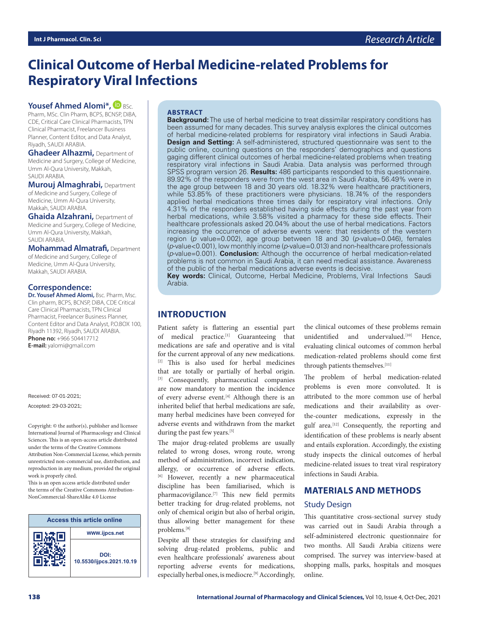## **Clinical Outcome of Herbal Medicine-related Problems for Respiratory Viral Infections**

#### **Yousef Ahmed Alomi\*, BBSc.**

Pharm, MSc. Clin Pharm, BCPS, BCNSP, DiBA, CDE, Critical Care Clinical Pharmacists, TPN Clinical Pharmacist, Freelancer Business Planner, Content Editor, and Data Analyst, Riyadh, SAUDI ARABIA.

**Ghadeer Alhazmi,** Department of Medicine and Surgery, College of Medicine, Umm Al-Qura University, Makkah, SAUDI ARABIA.

**Murouj Almaghrabi,** Department of Medicine and Surgery, College of Medicine, Umm Al-Qura University, Makkah, SAUDI ARABIA.

**Ghaida Alzahrani,** Department of Medicine and Surgery, College of Medicine, Umm Al-Qura University, Makkah, SAUDI ARABIA.

**Mohammad Almatrafi,** Department of Medicine and Surgery, College of Medicine, Umm Al-Qura University, Makkah, SAUDI ARABIA.

#### **Correspondence:**

**Dr. Yousef Ahmed Alomi,** Bsc. Pharm, Msc. Clin pharm, BCPS, BCNSP, DiBA, CDE Critical Care Clinical Pharmacists, TPN Clinical Pharmacist, Freelancer Business Planner, Content Editor and Data Analyst, P.O.BOX 100, Riyadh 11392, Riyadh, SAUDI ARABIA. **Phone no:** +966 504417712 **E-mail:** yalomi@gmail.com

Received: 07-01-2021; Accepted: 29-03-2021;

Copyright:  $\circledcirc$  the author(s), publisher and licensee International Journal of Pharmacology and Clinical Sciences. This is an open-access article distributed under the terms of the Creative Commons Attribution Non-Commercial License, which permits unrestricted non-commercial use, distribution, and reproduction in any medium, provided the original work is properly cited.

This is an open access article distributed under the terms of the Creative Commons Attribution-NonCommercial-ShareAlike 4.0 License



#### **ABSTRACT**

**Background:** The use of herbal medicine to treat dissimilar respiratory conditions has been assumed for many decades. This survey analysis explores the clinical outcomes of herbal medicine-related problems for respiratory viral infections in Saudi Arabia. **Design and Setting:** A self-administered, structured questionnaire was sent to the public online, counting questions on the responders' demographics and questions gaging different clinical outcomes of herbal medicine-related problems when treating respiratory viral infections in Saudi Arabia. Data analysis was performed through SPSS program version 26. **Results:** 486 participants responded to this questionnaire. 89.92% of the responders were from the west area in Saudi Arabia, 56.49% were in the age group between 18 and 30 years old. 18.32% were healthcare practitioners, while 53.85% of these practitioners were physicians. 18.74% of the responders applied herbal medications three times daily for respiratory viral infections. Only 4.31% of the responders established having side effects during the past year from herbal medications, while 3.58% visited a pharmacy for these side effects. Their healthcare professionals asked 20.04% about the use of herbal medications. Factors increasing the occurrence of adverse events were: that residents of the western region (*p* value=0.002), age group between 18 and 30 (*p*-value=0.046), females (*p*-value<0.001), low monthly income (*p*-value=0.013) and non-healthcare professionals (*p*-value=0.001). **Conclusion:** Although the occurrence of herbal medication-related problems is not common in Saudi Arabia, it can need medical assistance. Awareness of the public of the herbal medications adverse events is decisive.

**Key words:** Clinical, Outcome, Herbal Medicine, Problems, Viral Infections Saudi Arabia.

## **INTRODUCTION**

Patient safety is flattering an essential part of medical practice.[1] Guaranteeing that medications are safe and operative and is vital for the current approval of any new medications. [2] This is also used for herbal medicines that are totally or partially of herbal origin. [3] Consequently, pharmaceutical companies are now mandatory to mention the incidence of every adverse event.<sup>[4]</sup> Although there is an inherited belief that herbal medications are safe, many herbal medicines have been conveyed for adverse events and withdrawn from the market during the past few years.<sup>[5]</sup>

The major drug-related problems are usually related to wrong doses, wrong route, wrong method of administration, incorrect indication, allergy, or occurrence of adverse effects. [6] However, recently a new pharmaceutical discipline has been familiarised, which is pharmacovigilance.[7] This new field permits better tracking for drug-related problems, not only of chemical origin but also of herbal origin, thus allowing better management for these problems.[8]

Despite all these strategies for classifying and solving drug-related problems, public and even healthcare professionals' awareness about reporting adverse events for medications, especially herbal ones, is mediocre.<sup>[9]</sup> Accordingly,

the clinical outcomes of these problems remain unidentified and undervalued.<sup>[10]</sup> Hence, evaluating clinical outcomes of common herbal medication-related problems should come first through patients themselves.[11]

The problem of herbal medication-related problems is even more convoluted. It is attributed to the more common use of herbal medications and their availability as overthe-counter medications, expressly in the gulf area.[12] Consequently, the reporting and identification of these problems is nearly absent and entails exploration. Accordingly, the existing study inspects the clinical outcomes of herbal medicine-related issues to treat viral respiratory infections in Saudi Arabia.

# **MATERIALS AND METHODS**

## Study Design

This quantitative cross-sectional survey study was carried out in Saudi Arabia through a self-administered electronic questionnaire for two months. All Saudi Arabia citizens were comprised. The survey was interview-based at shopping malls, parks, hospitals and mosques online.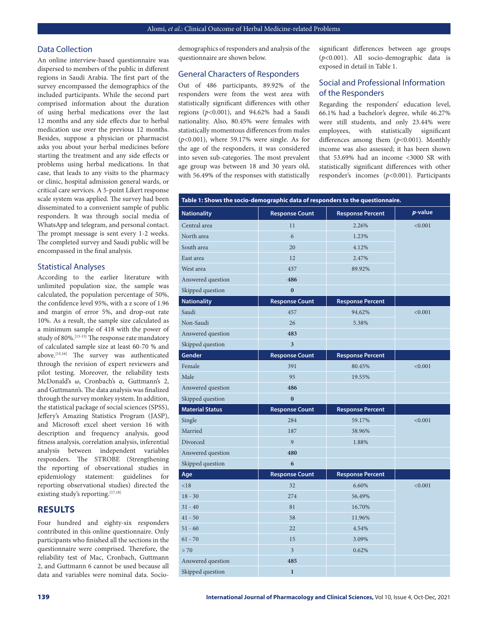#### Data Collection

An online interview-based questionnaire was dispersed to members of the public in different regions in Saudi Arabia. The first part of the survey encompassed the demographics of the included participants. While the second part comprised information about the duration of using herbal medications over the last 12 months and any side effects due to herbal medication use over the previous 12 months. Besides, suppose a physician or pharmacist asks you about your herbal medicines before starting the treatment and any side effects or problems using herbal medications. In that case, that leads to any visits to the pharmacy or clinic, hospital admission general wards, or critical care services. A 5-point Likert response scale system was applied. The survey had been disseminated to a convenient sample of public responders. It was through social media of WhatsApp and telegram, and personal contact. The prompt message is sent every 1-2 weeks. The completed survey and Saudi public will be encompassed in the final analysis.

#### Statistical Analyses

According to the earlier literature with unlimited population size, the sample was calculated, the population percentage of 50%, the confidence level 95%, with a z score of 1.96 and margin of error 5%, and drop-out rate 10%. As a result, the sample size calculated as a minimum sample of 418 with the power of study of 80%.[13-15] The response rate mandatory of calculated sample size at least 60-70 % and above.[15,16] The survey was authenticated through the revision of expert reviewers and pilot testing. Moreover, the reliability tests McDonald's ω, Cronbach's α, Guttmann's 2, and Guttmann's. The data analysis was finalized through the survey monkey system. In addition, the statistical package of social sciences (SPSS), Jeffery's Amazing Statistics Program (JASP), and Microsoft excel sheet version 16 with description and frequency analysis, good fitness analysis, correlation analysis, inferential analysis between independent variables responders. The STROBE (Strengthening the reporting of observational studies in epidemiology statement: guidelines for reporting observational studies) directed the existing study's reporting.<sup>[17,18]</sup>

## **RESULTS**

Four hundred and eighty-six responders contributed in this online questionnaire. Only participants who finished all the sections in the questionnaire were comprised. Therefore, the reliability test of Mac, Cronbach, Guttmann 2, and Guttmann 6 cannot be used because all data and variables were nominal data. Sociodemographics of responders and analysis of the questionnaire are shown below.

#### General Characters of Responders

Out of 486 participants, 89.92% of the responders were from the west area with statistically significant differences with other regions (*p*<0.001), and 94.62% had a Saudi nationality. Also, 80.45% were females with statistically momentous differences from males (*p*<0.001), where 59.17% were single. As for the age of the responders, it was considered into seven sub-categories. The most prevalent age group was between 18 and 30 years old, with 56.49% of the responses with statistically significant differences between age groups (*p*<0.001). All socio-demographic data is exposed in detail in Table 1.

## Social and Professional Information of the Responders

Regarding the responders' education level, 66.1% had a bachelor's degree, while 46.27% were still students, and only 23.44% were employees, with statistically significant differences among them (*p*<0.001). Monthly income was also assessed; it has been shown that 53.69% had an income <3000 SR with statistically significant differences with other responder's incomes (*p*<0.001). Participants

| Table 1: Shows the socio-demographic data of responders to the questionnaire. |                         |                         |         |  |
|-------------------------------------------------------------------------------|-------------------------|-------------------------|---------|--|
| <b>Nationality</b>                                                            | <b>Response Count</b>   | <b>Response Percent</b> | p-value |  |
| Central area                                                                  | 11                      | 2.26%                   | < 0.001 |  |
| North area                                                                    | 6                       | 1.23%                   |         |  |
| South area                                                                    | 20                      | 4.12%                   |         |  |
| East area                                                                     | 12                      | 2.47%                   |         |  |
| West area                                                                     | 437                     | 89.92%                  |         |  |
| Answered question                                                             | 486                     |                         |         |  |
| Skipped question                                                              | $\bf{0}$                |                         |         |  |
| <b>Nationality</b>                                                            | <b>Response Count</b>   | <b>Response Percent</b> |         |  |
| Saudi                                                                         | 457                     | 94.62%                  | < 0.001 |  |
| Non-Saudi                                                                     | 26                      | 5.38%                   |         |  |
| Answered question                                                             | 483                     |                         |         |  |
| Skipped question                                                              | $\overline{\mathbf{3}}$ |                         |         |  |
| Gender                                                                        | <b>Response Count</b>   | <b>Response Percent</b> |         |  |
| Female                                                                        | 391                     | 80.45%                  | < 0.001 |  |
| Male                                                                          | 95                      | 19.55%                  |         |  |
| Answered question                                                             | 486                     |                         |         |  |
| Skipped question                                                              | $\mathbf{0}$            |                         |         |  |
| <b>Material Status</b>                                                        | <b>Response Count</b>   | <b>Response Percent</b> |         |  |
| Single                                                                        | 284                     | 59.17%                  | < 0.001 |  |
| Married                                                                       | 187                     | 38.96%                  |         |  |
| Divorced                                                                      | 9                       | 1.88%                   |         |  |
| Answered question                                                             | 480                     |                         |         |  |
| Skipped question                                                              | 6                       |                         |         |  |
| Age                                                                           | <b>Response Count</b>   | <b>Response Percent</b> |         |  |
| < 18                                                                          | 32                      | 6.60%                   | < 0.001 |  |
| $18 - 30$                                                                     | 274                     | 56.49%                  |         |  |
| $31 - 40$                                                                     | 81                      | 16.70%                  |         |  |
| $41 - 50$                                                                     | 58                      | 11.96%                  |         |  |
| $51 - 60$                                                                     | 22                      | 4.54%                   |         |  |
| $61 - 70$                                                                     | 15                      | 3.09%                   |         |  |
| > 70                                                                          | $\mathfrak{Z}$          | 0.62%                   |         |  |
| Answered question                                                             | 485                     |                         |         |  |
| Skipped question                                                              | $\mathbf{1}$            |                         |         |  |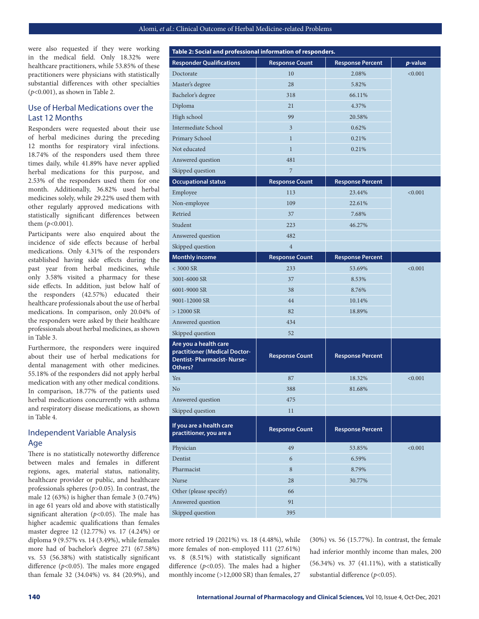were also requested if they were working in the medical field. Only 18.32% were healthcare practitioners, while 53.85% of these practitioners were physicians with statistically substantial differences with other specialties (*p*<0.001), as shown in Table 2.

## Use of Herbal Medications over the Last 12 Months

Responders were requested about their use of herbal medicines during the preceding 12 months for respiratory viral infections. 18.74% of the responders used them three times daily, while 41.89% have never applied herbal medications for this purpose, and 2.53% of the responders used them for one month. Additionally, 36.82% used herbal medicines solely, while 29.22% used them with other regularly approved medications with statistically significant differences between them (*p*<0.001).

Participants were also enquired about the incidence of side effects because of herbal medications. Only 4.31% of the responders established having side effects during the past year from herbal medicines, while only 3.58% visited a pharmacy for these side effects. In addition, just below half of the responders (42.57%) educated their healthcare professionals about the use of herbal medications. In comparison, only 20.04% of the responders were asked by their healthcare professionals about herbal medicines, as shown in Table 3.

Furthermore, the responders were inquired about their use of herbal medications for dental management with other medicines. 55.18% of the responders did not apply herbal medication with any other medical conditions. In comparison, 18.77% of the patients used herbal medications concurrently with asthma and respiratory disease medications, as shown in Table 4.

## Independent Variable Analysis Age

There is no statistically noteworthy difference between males and females in different regions, ages, material status, nationality, healthcare provider or public, and healthcare professionals spheres (*p*>0.05). In contrast, the male 12 (63%) is higher than female 3 (0.74%) in age 61 years old and above with statistically significant alteration (*p*<0.05). The male has higher academic qualifications than females master degree 12 (12.77%) vs. 17 (4.24%) or diploma 9 (9.57% vs. 14 (3.49%), while females more had of bachelor's degree 271 (67.58%) vs. 53 (56.38%) with statistically significant difference (*p*<0.05). The males more engaged than female 32 (34.04%) vs. 84 (20.9%), and

| Table 2: Social and professional information of responders.                                           |                         |                         |         |
|-------------------------------------------------------------------------------------------------------|-------------------------|-------------------------|---------|
| <b>Responder Qualifications</b>                                                                       | <b>Response Count</b>   | <b>Response Percent</b> | p-value |
| Doctorate                                                                                             | 10                      | 2.08%                   | < 0.001 |
| Master's degree                                                                                       | 28                      | 5.82%                   |         |
| Bachelor's degree                                                                                     | 318                     | 66.11%                  |         |
| Diploma                                                                                               | 21                      | 4.37%                   |         |
| High school                                                                                           | 99                      | 20.58%                  |         |
| Intermediate School                                                                                   | $\overline{\mathbf{3}}$ | 0.62%                   |         |
| Primary School                                                                                        | $\mathbf{1}$            | 0.21%                   |         |
| Not educated                                                                                          | $\mathbf{1}$            | 0.21%                   |         |
| Answered question                                                                                     | 481                     |                         |         |
| Skipped question                                                                                      | 7                       |                         |         |
| <b>Occupational status</b>                                                                            | <b>Response Count</b>   | <b>Response Percent</b> |         |
| Employee                                                                                              | 113                     | 23.44%                  | < 0.001 |
| Non-employee                                                                                          | 109                     | 22.61%                  |         |
| Retried                                                                                               | 37                      | 7.68%                   |         |
| Student                                                                                               | 223                     | 46.27%                  |         |
| Answered question                                                                                     | 482                     |                         |         |
| Skipped question                                                                                      | $\overline{4}$          |                         |         |
| <b>Monthly income</b>                                                                                 | <b>Response Count</b>   | <b>Response Percent</b> |         |
| $<$ 3000 SR                                                                                           | 233                     | 53.69%                  | < 0.001 |
| 3001-6000 SR                                                                                          | 37                      | 8.53%                   |         |
| 6001-9000 SR                                                                                          | 38                      | 8.76%                   |         |
| 9001-12000 SR                                                                                         | 44                      | 10.14%                  |         |
| $>12000$ SR                                                                                           | 82                      | 18.89%                  |         |
| Answered question                                                                                     | 434                     |                         |         |
| Skipped question                                                                                      | 52                      |                         |         |
| Are you a health care<br>practitioner (Medical Doctor-<br><b>Dentist-Pharmacist-Nurse-</b><br>Others? | <b>Response Count</b>   | <b>Response Percent</b> |         |
| Yes                                                                                                   | 87                      | 18.32%                  | < 0.001 |
| No                                                                                                    | 388                     | 81.68%                  |         |
| Answered question                                                                                     | 475                     |                         |         |
| Skipped question                                                                                      | 11                      |                         |         |
| If you are a health care<br>practitioner, you are a                                                   | <b>Response Count</b>   | <b>Response Percent</b> |         |
| Physician                                                                                             | 49                      | 53.85%                  | < 0.001 |
| Dentist                                                                                               | 6                       | 6.59%                   |         |
| Pharmacist                                                                                            | 8                       | 8.79%                   |         |
| Nurse                                                                                                 | 28                      | 30.77%                  |         |
| Other (please specify)                                                                                | 66                      |                         |         |
| Answered question                                                                                     | 91                      |                         |         |
| Skipped question                                                                                      | 395                     |                         |         |

more retried 19 (2021%) vs. 18 (4.48%), while more females of non-employed 111 (27.61%) vs. 8 (8.51%) with statistically significant difference (*p*<0.05). The males had a higher monthly income (>12,000 SR) than females, 27 (30%) vs. 56 (15.77%). In contrast, the female had inferior monthly income than males, 200 (56.34%) vs. 37 (41.11%), with a statistically substantial difference (*p*<0.05).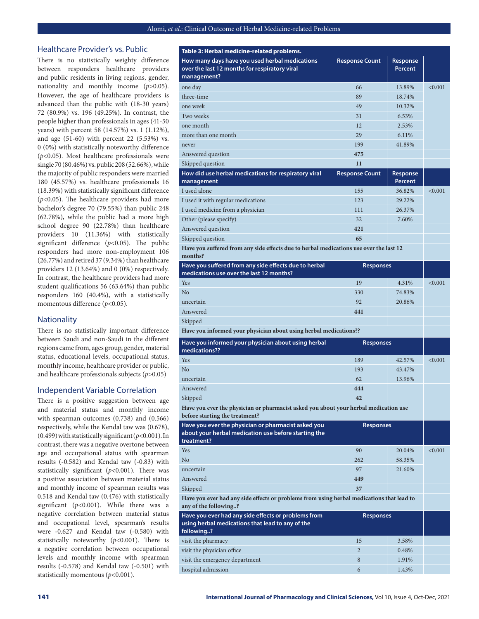#### Healthcare Provider's vs. Public

There is no statistically weighty difference between responders healthcare providers and public residents in living regions, gender, nationality and monthly income (*p*>0.05). However, the age of healthcare providers is advanced than the public with (18-30 years) 72 (80.9%) vs. 196 (49.25%). In contrast, the people higher than professionals in ages (41-50 years) with percent 58 (14.57%) vs. 1 (1.12%), and age (51-60) with percent 22 (5.53%) vs. 0 (0%) with statistically noteworthy difference (*p*<0.05). Most healthcare professionals were single 70 (80.46%) vs. public 208 (52.66%), while the majority of public responders were married 180 (45.57%) vs. healthcare professionals 16 (18.39%) with statistically significant difference (*p*<0.05). The healthcare providers had more bachelor's degree 70 (79.55%) than public 248 (62.78%), while the public had a more high school degree 90 (22.78%) than healthcare providers 10 (11.36%) with statistically significant difference (*p*<0.05). The public responders had more non-employment 106 (26.77%) and retired 37 (9.34%) than healthcare providers 12 (13.64%) and 0 (0%) respectively. In contrast, the healthcare providers had more student qualifications 56 (63.64%) than public responders 160 (40.4%), with a statistically momentous difference (*p*<0.05).

#### **Nationality**

There is no statistically important difference between Saudi and non-Saudi in the different regions came from, ages group, gender, material status, educational levels, occupational status, monthly income, healthcare provider or public, and healthcare professionals subjects (*p*>0.05)

#### Independent Variable Correlation

There is a positive suggestion between age and material status and monthly income with spearman outcomes (0.738) and (0.566) respectively, while the Kendal taw was (0.678), (0.499) with statistically significant (*p*<0.001). In contrast, there was a negative overtone between age and occupational status with spearman results (-0.582) and Kendal taw (-0.83) with statistically significant (*p*<0.001). There was a positive association between material status and monthly income of spearman results was 0.518 and Kendal taw (0.476) with statistically significant (*p*<0.001). While there was a negative correlation between material status and occupational level, spearman's results were -0.627 and Kendal taw (-0.580) with statistically noteworthy (*p*<0.001). There is a negative correlation between occupational levels and monthly income with spearman results (-0.578) and Kendal taw (-0.501) with statistically momentous (*p*<0.001).

| Table 3: Herbal medicine-related problems.                                                                     |                       |                            |         |
|----------------------------------------------------------------------------------------------------------------|-----------------------|----------------------------|---------|
| How many days have you used herbal medications<br>over the last 12 months for respiratory viral<br>management? | <b>Response Count</b> | Response<br>Percent        |         |
| one day                                                                                                        | 66                    | 13.89%                     | < 0.001 |
| three-time                                                                                                     | 89                    | 18.74%                     |         |
| one week                                                                                                       | 49                    | 10.32%                     |         |
| Two weeks                                                                                                      | 31                    | 6.53%                      |         |
| one month                                                                                                      | 12                    | 2.53%                      |         |
| more than one month                                                                                            | 29                    | 6.11%                      |         |
| never                                                                                                          | 199                   | 41.89%                     |         |
| Answered question                                                                                              | 475                   |                            |         |
| Skipped question                                                                                               | 11                    |                            |         |
| How did use herbal medications for respiratory viral<br>management                                             | <b>Response Count</b> | Response<br><b>Percent</b> |         |
| I used alone                                                                                                   | 155                   | 36.82%                     | < 0.001 |
| I used it with regular medications                                                                             | 123                   | 29.22%                     |         |
| I used medicine from a physician                                                                               | 111                   | 26.37%                     |         |
| Other (please specify)                                                                                         | 32                    | 7.60%                      |         |
| Answered question                                                                                              | 421                   |                            |         |
| Skipped question                                                                                               | 65                    |                            |         |
| Have you suffered from any side effects due to herbal medications use over the last 12<br>months?              |                       |                            |         |

| Have you suffered from any side effects due to herbal<br>medications use over the last 12 months? | <b>Responses</b> |        |         |
|---------------------------------------------------------------------------------------------------|------------------|--------|---------|
| Yes                                                                                               | 19               | 4.31%  | < 0.001 |
| N <sub>o</sub>                                                                                    | 330              | 74.83% |         |
| uncertain                                                                                         | 92               | 20.86% |         |
| Answered                                                                                          | 441              |        |         |
| Skipped                                                                                           |                  |        |         |

**Have you informed your physician about using herbal medications??**

| Have you informed your physician about using herbal<br>medications?? | <b>Responses</b> |        |         |
|----------------------------------------------------------------------|------------------|--------|---------|
| Yes                                                                  | 189              | 42.57% | < 0.001 |
| N <sub>o</sub>                                                       | 193              | 43.47% |         |
| uncertain                                                            | 62               | 13.96% |         |
| Answered                                                             | 444              |        |         |
| Skipped                                                              | 42               |        |         |

**Have you ever the physician or pharmacist asked you about your herbal medication use before starting the treatment?**

| Have you ever the physician or pharmacist asked you<br>about your herbal medication use before starting the<br>treatment? | <b>Responses</b> |        |         |
|---------------------------------------------------------------------------------------------------------------------------|------------------|--------|---------|
| Yes                                                                                                                       | 90               | 20.04% | < 0.001 |
| No                                                                                                                        | 262              | 58.35% |         |
| uncertain                                                                                                                 | 97               | 21.60% |         |
| Answered                                                                                                                  | 449              |        |         |
| Skipped                                                                                                                   | 37               |        |         |

**Have you ever had any side effects or problems from using herbal medications that lead to any of the following..?**

| Have you ever had any side effects or problems from<br>using herbal medications that lead to any of the<br>following? | <b>Responses</b> |       |  |
|-----------------------------------------------------------------------------------------------------------------------|------------------|-------|--|
| visit the pharmacy                                                                                                    | 15               | 3.58% |  |
| visit the physician office                                                                                            | 2                | 0.48% |  |
| visit the emergency department                                                                                        | 8                | 1.91% |  |
| hospital admission                                                                                                    | 6                | 1.43% |  |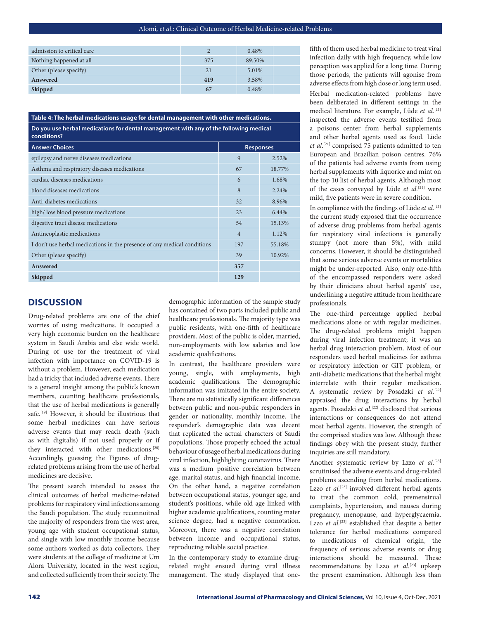|     | 0.48%  |  |
|-----|--------|--|
| 375 | 89.50% |  |
| 21  | 5.01%  |  |
| 419 | 3.58%  |  |
| 67  | 0.48%  |  |
|     |        |  |

| Table 4: The herbal medications usage for dental management with other medications.                  |                |                  |  |
|------------------------------------------------------------------------------------------------------|----------------|------------------|--|
| Do you use herbal medications for dental management with any of the following medical<br>conditions? |                |                  |  |
| <b>Answer Choices</b>                                                                                |                | <b>Responses</b> |  |
| epilepsy and nerve diseases medications                                                              | 9              | 2.52%            |  |
| Asthma and respiratory diseases medications                                                          | 67             | 18.77%           |  |
| cardiac diseases medications                                                                         | 6              | 1.68%            |  |
| blood diseases medications                                                                           | 8              | 2.24%            |  |
| Anti-diabetes medications                                                                            | 32             | 8.96%            |  |
| high/low blood pressure medications                                                                  | 23             | 6.44%            |  |
| digestive tract disease medications                                                                  | 54             | 15.13%           |  |
| Antineoplastic medications                                                                           | $\overline{4}$ | 1.12%            |  |
| I don't use herbal medications in the presence of any medical conditions                             | 197            | 55.18%           |  |
| Other (please specify)                                                                               | 39             | 10.92%           |  |
| Answered                                                                                             | 357            |                  |  |
| <b>Skipped</b>                                                                                       | 129            |                  |  |

## **DISCUSSION**

Drug-related problems are one of the chief worries of using medications. It occupied a very high economic burden on the healthcare system in Saudi Arabia and else wide world. During of use for the treatment of viral infection with importance on COVID-19 is without a problem. However, each medication had a tricky that included adverse events. There is a general insight among the public's known members, counting healthcare professionals, that the use of herbal medications is generally safe.<sup>[19]</sup> However, it should be illustrious that some herbal medicines can have serious adverse events that may reach death (such as with digitalis) if not used properly or if they interacted with other medications.<sup>[20]</sup> Accordingly, guessing the Figures of drugrelated problems arising from the use of herbal medicines are decisive.

The present search intended to assess the clinical outcomes of herbal medicine-related problems for respiratory viral infections among the Saudi population. The study reconnoitred the majority of responders from the west area, young age with student occupational status, and single with low monthly income because some authors worked as data collectors. They were students at the college of medicine at Um Alora University, located in the west region, and collected sufficiently from their society. The

demographic information of the sample study has contained of two parts included public and healthcare professionals. The majority type was public residents, with one-fifth of healthcare providers. Most of the public is older, married, non-employments with low salaries and low academic qualifications.

In contrast, the healthcare providers were young, single, with employments, high academic qualifications. The demographic information was imitated in the entire society. There are no statistically significant differences between public and non-public responders in gender or nationality, monthly income. The responder's demographic data was decent that replicated the actual characters of Saudi populations. Those properly echoed the actual behaviour of usage of herbal medications during viral infection, highlighting coronavirus. There was a medium positive correlation between age, marital status, and high financial income. On the other hand, a negative correlation between occupational status, younger age, and student's positions, while old age linked with higher academic qualifications, counting mater science degree, had a negative connotation. Moreover, there was a negative correlation between income and occupational status, reproducing reliable social practice.

In the contemporary study to examine drugrelated might ensued during viral illness management. The study displayed that one-

fifth of them used herbal medicine to treat viral infection daily with high frequency, while low perception was applied for a long time. During those periods, the patients will agonise from adverse effects from high dose or long term used.

Herbal medication-related problems have been deliberated in different settings in the medical literature. For example, Lüde *et al.*[21] inspected the adverse events testified from a poisons center from herbal supplements and other herbal agents used as food. Lüde *et al.*[21] comprised 75 patients admitted to ten European and Brazilian poison centres. 76% of the patients had adverse events from using herbal supplements with liquorice and mint on the top 10 list of herbal agents. Although most of the cases conveyed by Lüde *et al.*[21] were mild, five patients were in severe condition.

In compliance with the findings of Lüde *et al.*[21] the current study exposed that the occurrence of adverse drug problems from herbal agents for respiratory viral infections is generally stumpy (not more than 5%), with mild concerns. However, it should be distinguished that some serious adverse events or mortalities might be under-reported. Also, only one-fifth of the encompassed responders were asked by their clinicians about herbal agents' use, underlining a negative attitude from healthcare professionals.

The one-third percentage applied herbal medications alone or with regular medicines. The drug-related problems might happen during viral infection treatment; it was an herbal drug interaction problem. Most of our responders used herbal medicines for asthma or respiratory infection or GIT problem, or anti-diabetic medications that the herbal might interrelate with their regular medication. A systematic review by Posadzki et al.<sup>[22]</sup> appraised the drug interactions by herbal agents. Posadzki *et al.*<sup>[22]</sup> disclosed that serious interactions or consequences do not attend most herbal agents. However, the strength of the comprised studies was low. Although these findings obey with the present study, further inquiries are still mandatory.

Another systematic review by Lzzo et al.<sup>[23]</sup> scrutinised the adverse events and drug-related problems ascending from herbal medications. Lzzo *et al.*<sup>[23]</sup> involved different herbal agents to treat the common cold, premenstrual complaints, hypertension, and nausea during pregnancy, menopause, and hyperglycaemia. Lzzo *et al.*<sup>[23]</sup> established that despite a better tolerance for herbal medications compared to medications of chemical origin, the frequency of serious adverse events or drug interactions should be measured. These recommendations by Lzzo et al.<sup>[23]</sup> upkeep the present examination. Although less than